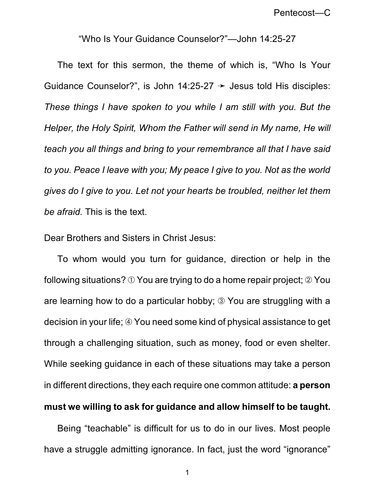Pentecost—C

"Who Is Your Guidance Counselor?"—John 14:25-27

The text for this sermon, the theme of which is, "Who Is Your Guidance Counselor?", is John 14:25-27  $\rightarrow$  Jesus told His disciples: *These things I have spoken to you while I am still with you. But the Helper, the Holy Spirit, Whom the Father will send in My name, He will teach you all things and bring to your remembrance all that I have said to you. Peace I leave with you; My peace I give to you. Not as the world gives do I give to you. Let not your hearts be troubled, neither let them be afraid.* This is the text.

Dear Brothers and Sisters in Christ Jesus:

To whom would you turn for guidance, direction or help in the following situations?  $\odot$  You are trying to do a home repair project;  $\odot$  You are learning how to do a particular hobby; ä You are struggling with a decision in your life;  $\circled{4}$  You need some kind of physical assistance to get through a challenging situation, such as money, food or even shelter. While seeking guidance in each of these situations may take a person in different directions, they each require one common attitude: **a person**

## **must we willing to ask for guidance and allow himself to be taught.**

Being "teachable" is difficult for us to do in our lives. Most people have a struggle admitting ignorance. In fact, just the word "ignorance"

1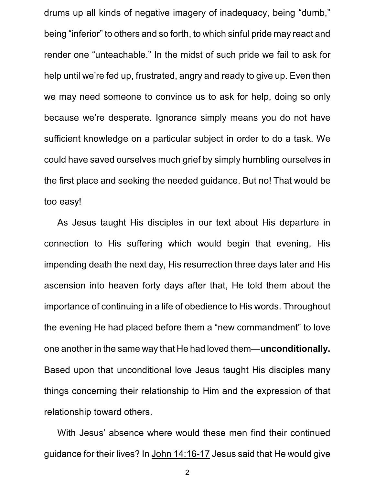drums up all kinds of negative imagery of inadequacy, being "dumb," being "inferior" to others and so forth, to which sinful pride may react and render one "unteachable." In the midst of such pride we fail to ask for help until we're fed up, frustrated, angry and ready to give up. Even then we may need someone to convince us to ask for help, doing so only because we're desperate. Ignorance simply means you do not have sufficient knowledge on a particular subject in order to do a task. We could have saved ourselves much grief by simply humbling ourselves in the first place and seeking the needed guidance. But no! That would be too easy!

As Jesus taught His disciples in our text about His departure in connection to His suffering which would begin that evening, His impending death the next day, His resurrection three days later and His ascension into heaven forty days after that, He told them about the importance of continuing in a life of obedience to His words. Throughout the evening He had placed before them a "new commandment" to love one another in the same way that He had loved them—**unconditionally.** Based upon that unconditional love Jesus taught His disciples many things concerning their relationship to Him and the expression of that relationship toward others.

With Jesus' absence where would these men find their continued guidance for their lives? In John 14:16-17 Jesus said that He would give

2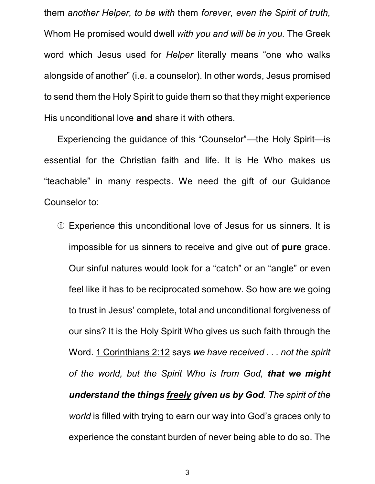them *another Helper, to be with* them *forever, even the Spirit of truth,* Whom He promised would dwell *with you and will be in you.* The Greek word which Jesus used for *Helper* literally means "one who walks alongside of another" (i.e. a counselor). In other words, Jesus promised to send them the Holy Spirit to guide them so that they might experience His unconditional love **and** share it with others.

Experiencing the guidance of this "Counselor"—the Holy Spirit—is essential for the Christian faith and life. It is He Who makes us "teachable" in many respects. We need the gift of our Guidance Counselor to:

â Experience this unconditional love of Jesus for us sinners. It is impossible for us sinners to receive and give out of **pure** grace. Our sinful natures would look for a "catch" or an "angle" or even feel like it has to be reciprocated somehow. So how are we going to trust in Jesus' complete, total and unconditional forgiveness of our sins? It is the Holy Spirit Who gives us such faith through the Word. 1 Corinthians 2:12 says *we have received . . . not the spirit of the world, but the Spirit Who is from God, that we might understand the things freely given us by God. The spirit of the world* is filled with trying to earn our way into God's graces only to experience the constant burden of never being able to do so. The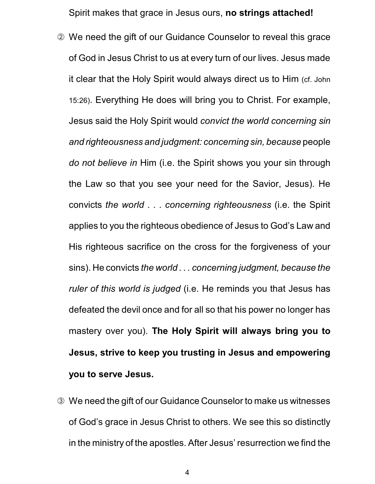Spirit makes that grace in Jesus ours, **no strings attached!**

- ã We need the gift of our Guidance Counselor to reveal this grace of God in Jesus Christ to us at every turn of our lives. Jesus made it clear that the Holy Spirit would always direct us to Him (cf. John 15:26). Everything He does will bring you to Christ. For example, Jesus said the Holy Spirit would *convict the world concerning sin and righteousness and judgment: concerning sin, because* people *do not believe in* Him (i.e. the Spirit shows you your sin through the Law so that you see your need for the Savior, Jesus). He convicts *the world . . . concerning righteousness* (i.e. the Spirit applies to you the righteous obedience of Jesus to God's Law and His righteous sacrifice on the cross for the forgiveness of your sins). He convicts *the world . . . concerning judgment, because the ruler of this world is judged* (i.e. He reminds you that Jesus has defeated the devil once and for all so that his power no longer has mastery over you). **The Holy Spirit will always bring you to Jesus, strive to keep you trusting in Jesus and empowering you to serve Jesus.**
- ä We need the gift of our Guidance Counselor to make us witnesses of God's grace in Jesus Christ to others. We see this so distinctly in the ministry of the apostles. After Jesus' resurrection we find the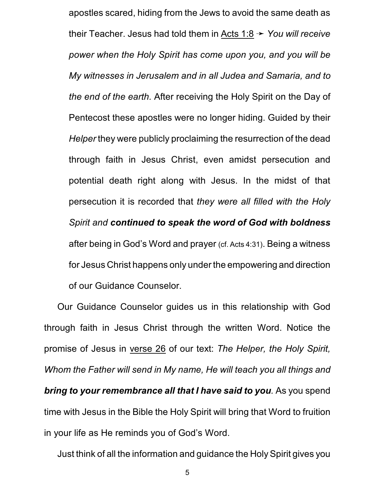apostles scared, hiding from the Jews to avoid the same death as their Teacher. Jesus had told them in Acts  $1:8 \rightarrow$  *You will receive power when the Holy Spirit has come upon you, and you will be My witnesses in Jerusalem and in all Judea and Samaria, and to the end of the earth.* After receiving the Holy Spirit on the Day of Pentecost these apostles were no longer hiding. Guided by their *Helper* they were publicly proclaiming the resurrection of the dead through faith in Jesus Christ, even amidst persecution and potential death right along with Jesus. In the midst of that persecution it is recorded that *they were all filled with the Holy Spirit and continued to speak the word of God with boldness* after being in God's Word and prayer (cf. Acts 4:31). Being a witness for Jesus Christ happens only under the empowering and direction of our Guidance Counselor.

Our Guidance Counselor guides us in this relationship with God through faith in Jesus Christ through the written Word. Notice the promise of Jesus in verse 26 of our text: *The Helper, the Holy Spirit, Whom the Father will send in My name, He will teach you all things and bring to your remembrance all that I have said to you.* As you spend time with Jesus in the Bible the Holy Spirit will bring that Word to fruition in your life as He reminds you of God's Word.

Just think of all the information and guidance the Holy Spirit gives you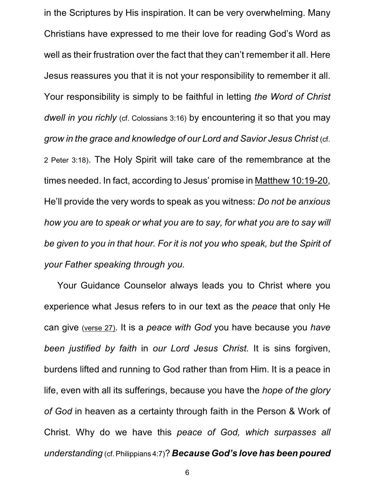in the Scriptures by His inspiration. It can be very overwhelming. Many Christians have expressed to me their love for reading God's Word as well as their frustration over the fact that they can't remember it all. Here Jesus reassures you that it is not your responsibility to remember it all. Your responsibility is simply to be faithful in letting *the Word of Christ dwell in you richly* (cf. Colossians 3:16) by encountering it so that you may *grow in the grace and knowledge of our Lord and Savior Jesus Christ* (cf. 2 Peter 3:18). The Holy Spirit will take care of the remembrance at the times needed. In fact, according to Jesus' promise in Matthew 10:19-20, He'll provide the very words to speak as you witness: *Do not be anxious how you are to speak or what you are to say, for what you are to say will be given to you in that hour. For it is not you who speak, but the Spirit of your Father speaking through you.*

Your Guidance Counselor always leads you to Christ where you experience what Jesus refers to in our text as the *peace* that only He can give (verse 27). It is a *peace with God* you have because you *have been justified by faith* in *our Lord Jesus Christ.* It is sins forgiven, burdens lifted and running to God rather than from Him. It is a peace in life, even with all its sufferings, because you have the *hope of the glory of God* in heaven as a certainty through faith in the Person & Work of Christ. Why do we have this *peace of God, which surpasses all understanding* (cf. Philippians 4:7)? *Because God's love has been poured*